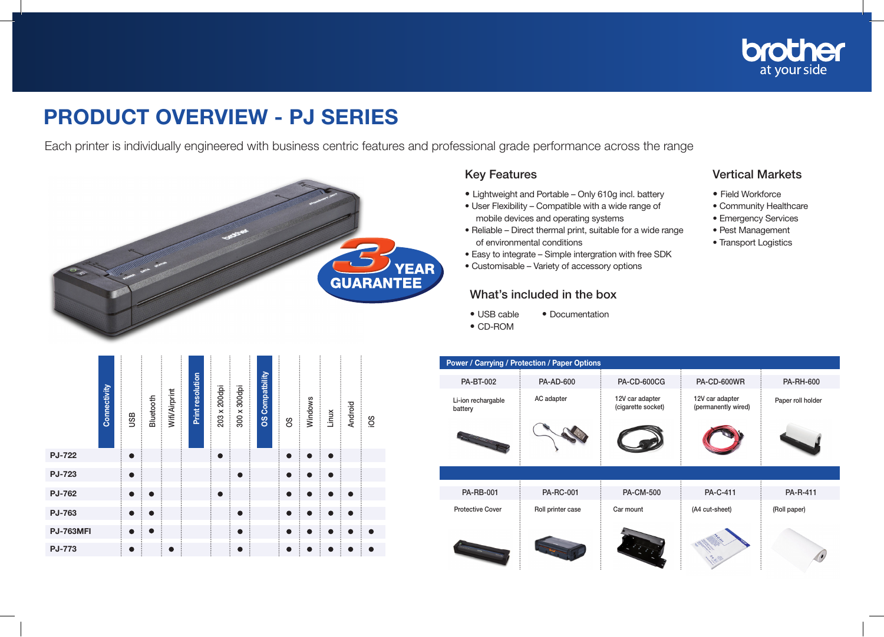

## PRODUCT OVERVIEW - PJ SERIES

Each printer is individually engineered with business centric features and professional grade performance across the range



## Key Features

- Lightweight and Portable Only 610g incl. battery
- User Flexibility Compatible with a wide range of mobile devices and operating systems
- Reliable Direct thermal print, suitable for a wide range of environmental conditions
- Easy to integrate Simple intergration with free SDK
- Customisable Variety of accessory options

## What's included in the box

- USB cable Documentation
- CD-ROM

## Vertical Markets

- Field Workforce
- Community Healthcare
- Emergency Services
- Pest Management
- Transport Logistics

| Connectivity     | <b>USB</b> | Bluetooth | Wifi/Airprint | Print resolution | 200dpi<br>203 x | 300 x 300dpi | <b>OS Compatbility</b> | 8O        | Windows   | Linux     | <b>Android</b> | Soi       |
|------------------|------------|-----------|---------------|------------------|-----------------|--------------|------------------------|-----------|-----------|-----------|----------------|-----------|
| <b>PJ-722</b>    | $\bullet$  |           |               |                  | $\bullet$       |              |                        | $\bullet$ | $\bullet$ | $\bullet$ |                |           |
| PJ-723           | $\bullet$  |           |               |                  |                 | $\bullet$    |                        | $\bullet$ | $\bullet$ | $\bullet$ |                |           |
| <b>PJ-762</b>    | $\bullet$  | $\bullet$ |               |                  | $\bullet$       |              |                        | $\bullet$ | $\bullet$ | $\bullet$ | $\bullet$      |           |
| PJ-763           | $\bullet$  | $\bullet$ |               |                  |                 | $\bullet$    |                        | $\bullet$ | ●         | $\bullet$ | æ              |           |
| <b>PJ-763MFI</b> | $\bullet$  | $\bullet$ |               |                  |                 | $\bullet$    |                        | $\bullet$ | $\bullet$ | $\bullet$ | $\bullet$      | $\bullet$ |
| <b>PJ-773</b>    |            |           |               |                  |                 |              |                        | D         |           |           |                |           |

| <b>Power / Carrying / Protection / Paper Options</b> |                   |                                       |                                        |                   |  |  |  |  |  |
|------------------------------------------------------|-------------------|---------------------------------------|----------------------------------------|-------------------|--|--|--|--|--|
| <b>PA-BT-002</b>                                     | <b>PA-AD-600</b>  | <b>PA-CD-600CG</b>                    | PA-CD-600WR                            | <b>PA-RH-600</b>  |  |  |  |  |  |
| Li-ion rechargable<br>battery                        | AC adapter        | 12V car adapter<br>(cigarette socket) | 12V car adapter<br>(permanently wired) | Paper roll holder |  |  |  |  |  |
|                                                      |                   |                                       |                                        |                   |  |  |  |  |  |
|                                                      |                   |                                       |                                        |                   |  |  |  |  |  |
| <b>PA-RB-001</b>                                     | <b>PA-RC-001</b>  | <b>PA-CM-500</b>                      | <b>PA-C-411</b>                        | PA-R-411          |  |  |  |  |  |
| <b>Protective Cover</b>                              | Roll printer case | Car mount                             | (A4 cut-sheet)                         | (Roll paper)      |  |  |  |  |  |
|                                                      |                   |                                       |                                        |                   |  |  |  |  |  |